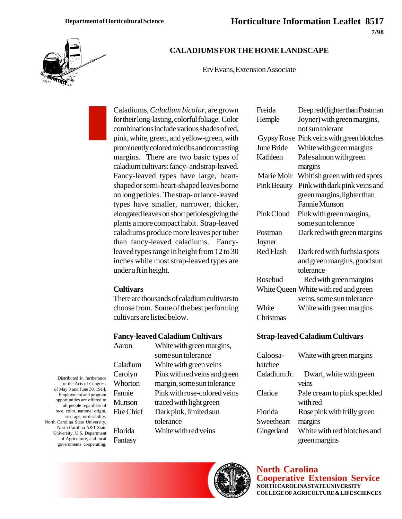Freida Deep red (lighter than Postman Hemple Joyner) with green margins, not sun tolerant Gypsy Rose Pink veins with green blotches June Bride White with green margins



## **CALADIUMS FOR THE HOME LANDSCAPE**

Erv Evans, Extension Associate

Caladiums, *Caladium bicolor*, are grown for their long-lasting, colorful foliage. Color combinations include various shades of red, pink, white, green, and yellow-green, with prominently colored midribs and contrasting margins. There are two basic types of caladium cultivars: fancy- and strap-leaved. Fancy-leaved types have large, heartshaped or semi-heart-shaped leaves borne on long petioles. The strap- or lance-leaved types have smaller, narrower, thicker, elongated leaves on short petioles giving the plants a more compact habit. Strap-leaved caladiums produce more leaves per tuber than fancy-leaved caladiums. Fancyleaved types range in height from 12 to 30 inches while most strap-leaved types are under a ft in height.

#### **Cultivars**

There are thousands of caladium cultivars to choose from. Some of the best performing cultivars are listed below.

#### **Fancy-leaved Caladium Cultivars**

Aaron White with green margins, some sun tolerance Caladium White with green veins Carolyn Pink with red veins and green Whorton margin, some sun tolerance Fannie Pink with rose-colored veins Munson traced with light green Fire Chief Dark pink, limited sun tolerance  $rida$  White with red veins

| North Carolina A&T State<br>University, U.S. Department | Florida |
|---------------------------------------------------------|---------|
| of Agriculture, and local<br>governments cooperating.   | Fantasy |

Distributed in furtherance of the Acts of Congress of May 8 and June 30, 1914. Employment and program opportunities are offered to all people regardless of race, color, national origin, sex, age, or disability. North Carolina State University,

**North Carolina Cooperative Extension Service NORTH CAROLINA STATE UNIVERSITY COLLEGE OF AGRICULTURE & LIFE SCIENCES**

| Kathleen    | Pale salmon with green               |
|-------------|--------------------------------------|
|             | margins                              |
| Marie Moir  | Whitish green with red spots         |
| Pink Beauty | Pink with dark pink veins and        |
|             | green margins, lighter than          |
|             | Fannie Munson                        |
| Pink Cloud  | Pink with green margins,             |
|             | some sun tolerance                   |
| Postman     | Dark red with green margins          |
| Joyner      |                                      |
| Red Flash   | Dark red with fuchsia spots          |
|             | and green margins, good sun          |
|             | tolerance                            |
| Rosebud     | Red with green margins               |
|             | White Queen White with red and green |
|             | veins, some sun tolerance            |
| White       | White with green margins             |

#### **Strap-leaved Caladium Cultivars**

Christmas

| Caloosa-     | White with green margins    |
|--------------|-----------------------------|
| hatchee      |                             |
| Caladium Jr. | Dwarf, white with green     |
|              | veins                       |
| Clarice      | Pale cream to pink speckled |
|              | with red                    |
| Florida      | Rose pink with frilly green |
| Sweetheart   | margins                     |
| Gingerland   | White with red blotches and |
|              | green margins               |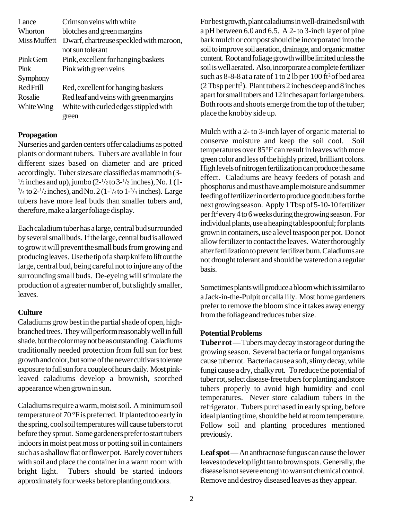| Lance        | Crimson veins with white                |
|--------------|-----------------------------------------|
| Whorton      | blotches and green margins              |
| Miss Muffett | Dwarf, chartreuse speckled with maroon, |
|              | not sun tolerant                        |
| Pink Gem     | Pink, excellent for hanging baskets     |
| Pink         | Pink with green veins                   |
| Symphony     |                                         |
| Red Frill    | Red, excellent for hanging baskets      |
| Rosalie      | Red leaf and veins with green margins   |
| White Wing   | White with curled edges stippled with   |
|              | green                                   |

### **Propagation**

Nurseries and garden centers offer caladiums as potted plants or dormant tubers. Tubers are available in four different sizes based on diameter and are priced accordingly. Tuber sizes are classified as mammoth (3-  $1/2$  inches and up), jumbo (2- $1/2$  to 3- $1/2$  inches), No. 1 (1- $^{3}/_{4}$  to 2- $^{1}/_{2}$  inches), and No. 2 (1- $^{1}/_{4}$  to 1- $^{3}/_{4}$  inches). Large tubers have more leaf buds than smaller tubers and, therefore, make a larger foliage display.

Each caladium tuber has a large, central bud surrounded by several small buds. If the large, central bud is allowed to grow it will prevent the small buds from growing and producing leaves. Use the tip of a sharp knife to lift out the large, central bud, being careful not to injure any of the surrounding small buds. De-eyeing will stimulate the production of a greater number of, but slightly smaller, leaves.

### **Culture**

Caladiums grow best in the partial shade of open, highbranched trees. They will perform reasonably well in full shade, but the color may not be as outstanding. Caladiums traditionally needed protection from full sun for best growth and color, but some of the newer cultivars tolerate exposure to full sun for a couple of hours daily. Most pinkleaved caladiums develop a brownish, scorched appearance when grown in sun.

Caladiums require a warm, moist soil. A minimum soil temperature of 70 °F is preferred. If planted too early in the spring, cool soil temperatures will cause tubers to rot before they sprout. Some gardeners prefer to start tubers indoors in moist peat moss or potting soil in containers such as a shallow flat or flower pot. Barely cover tubers with soil and place the container in a warm room with bright light. Tubers should be started indoors approximately four weeks before planting outdoors.

For best growth, plant caladiums in well-drained soil with a pH between 6.0 and 6.5. A 2- to 3-inch layer of pine bark mulch or compost should be incorporated into the soil to improve soil aeration, drainage, and organic matter content. Root and foliage growth will be limited unless the soil is well aerated. Also, incorporate a complete fertilizer such as  $8-8-8$  at a rate of 1 to 2 lb per 100 ft<sup>2</sup> of bed area  $(2$  Tbsp per ft<sup>2</sup>). Plant tubers 2 inches deep and 8 inches apart for small tubers and 12 inches apart for large tubers. Both roots and shoots emerge from the top of the tuber; place the knobby side up.

Mulch with a 2- to 3-inch layer of organic material to conserve moisture and keep the soil cool. Soil temperatures over 85°F can result in leaves with more green color and less of the highly prized, brilliant colors. High levels of nitrogen fertilization can produce the same effect. Caladiums are heavy feeders of potash and phosphorus and must have ample moisture and summer feeding of fertilizer in order to produce good tubers for the next growing season. Apply 1 Tbsp of 5-10-10 fertilizer per ft<sup>2</sup> every 4 to 6 weeks during the growing season. For individual plants, use a heaping tablespoonful; for plants grown in containers, use a level teaspoon per pot. Do not allow fertilizer to contact the leaves. Water thoroughly after fertilization to prevent fertilizer burn. Caladiums are not drought tolerant and should be watered on a regular basis.

Sometimes plants will produce a bloom which is similar to a Jack-in-the-Pulpit or calla lily. Most home gardeners prefer to remove the bloom since it takes away energy from the foliage and reduces tuber size.

### **Potential Problems**

**Tuber rot** — Tubers may decay in storage or during the growing season. Several bacteria or fungal organisms cause tuber rot. Bacteria cause a soft, slimy decay, while fungi cause a dry, chalky rot. To reduce the potential of tuber rot, select disease-free tubers for planting and store tubers properly to avoid high humidity and cool temperatures. Never store caladium tubers in the refrigerator. Tubers purchased in early spring, before ideal planting time, should be held at room temperature. Follow soil and planting procedures mentioned previously.

**Leaf spot** — An anthracnose fungus can cause the lower leaves to develop light tan to brown spots. Generally, the disease is not severe enough to warrant chemical control. Remove and destroy diseased leaves as they appear.